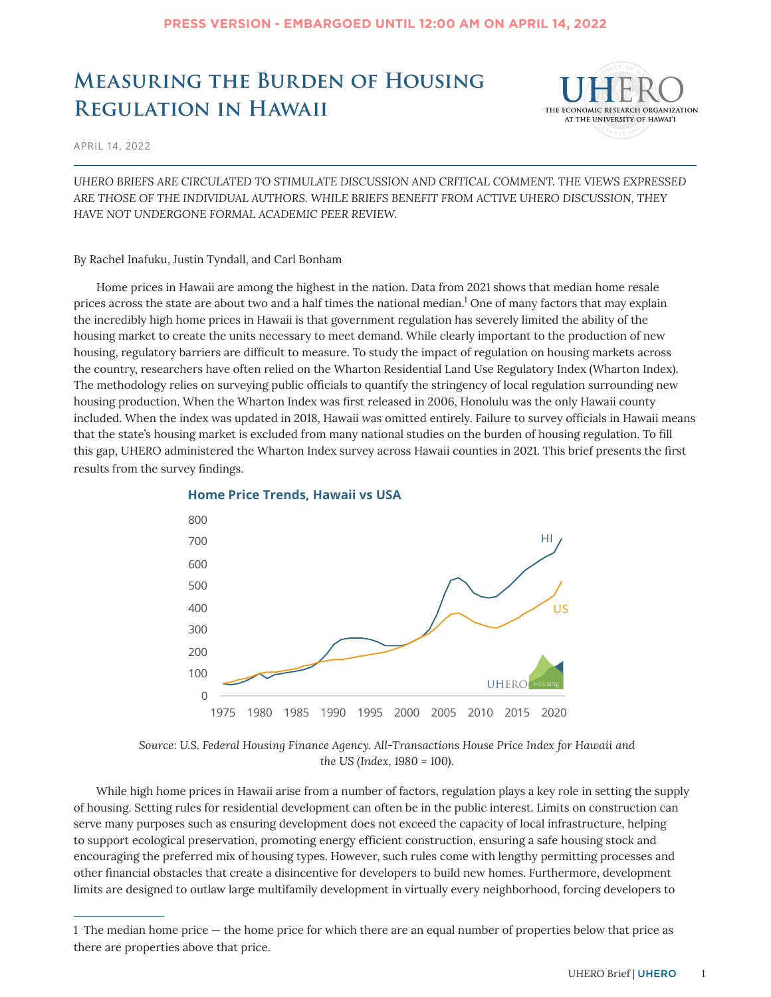## **Measuring the Burden of Housing Regulation in Hawaii**



APRIL 14, 2022

*UHERO BRIEFS ARE CIRCULATED TO STIMULATE DISCUSSION AND CRITICAL COMMENT. THE VIEWS EXPRESSED ARE THOSE OF THE INDIVIDUAL AUTHORS. WHILE BRIEFS BENEFIT FROM ACTIVE UHERO DISCUSSION, THEY HAVE NOT UNDERGONE FORMAL ACADEMIC PEER REVIEW.*

By Rachel Inafuku, Justin Tyndall, and Carl Bonham

Home prices in Hawaii are among the highest in the nation. Data from 2021 shows that median home resale prices across the state are about two and a half times the national median. $1$  One of many factors that may explain the incredibly high home prices in Hawaii is that government regulation has severely limited the ability of the housing market to create the units necessary to meet demand. While clearly important to the production of new housing, regulatory barriers are difficult to measure. To study the impact of regulation on housing markets across the country, researchers have often relied on the Wharton Residential Land Use Regulatory Index (Wharton Index). The methodology relies on surveying public officials to quantify the stringency of local regulation surrounding new housing production. When the Wharton Index was first released in 2006, Honolulu was the only Hawaii county included. When the index was updated in 2018, Hawaii was omitted entirely. Failure to survey officials in Hawaii means that the state's housing market is excluded from many national studies on the burden of housing regulation. To fill this gap, UHERO administered the Wharton Index survey across Hawaii counties in 2021. This brief presents the first results from the survey findings.



### **Home Price Trends, Hawaii vs USA**

*Source: U.S. Federal Housing Finance Agency. All-Transactions House Price Index for Hawaii and the US (Index, 1980 = 100).*

While high home prices in Hawaii arise from a number of factors, regulation plays a key role in setting the supply of housing. Setting rules for residential development can often be in the public interest. Limits on construction can serve many purposes such as ensuring development does not exceed the capacity of local infrastructure, helping to support ecological preservation, promoting energy efficient construction, ensuring a safe housing stock and encouraging the preferred mix of housing types. However, such rules come with lengthy permitting processes and other financial obstacles that create a disincentive for developers to build new homes. Furthermore, development limits are designed to outlaw large multifamily development in virtually every neighborhood, forcing developers to

<sup>1</sup> The median home price — the home price for which there are an equal number of properties below that price as there are properties above that price.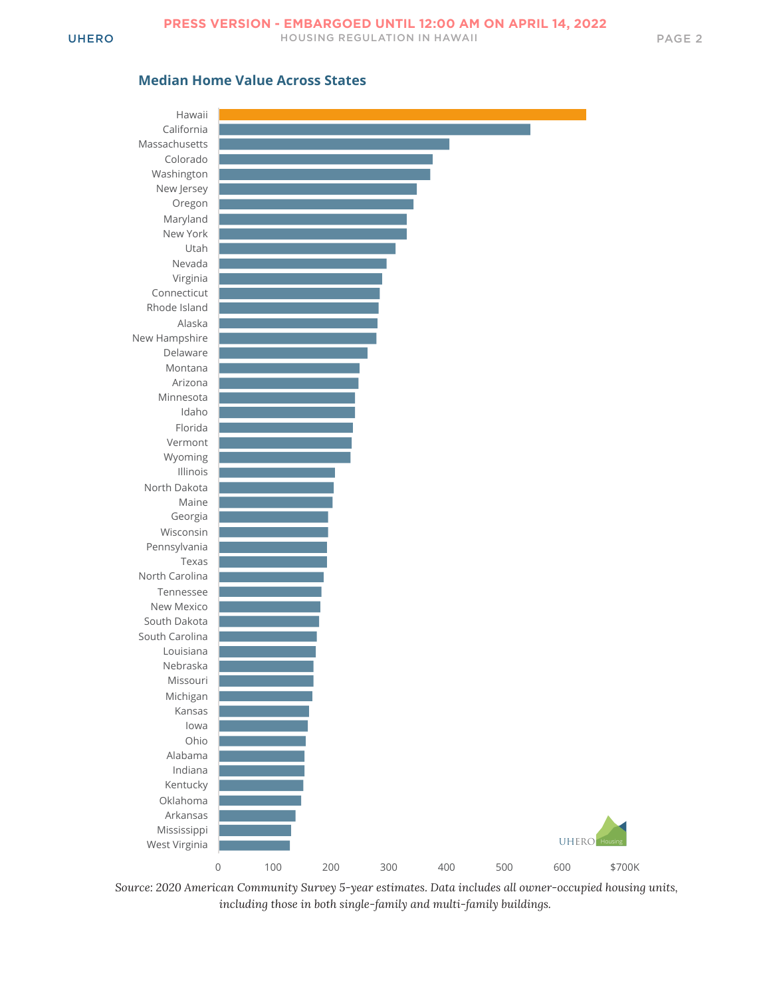

*Source: 2020 American Community Survey 5-year estimates. Data includes all owner-occupied housing units, including those in both single-family and multi-family buildings.*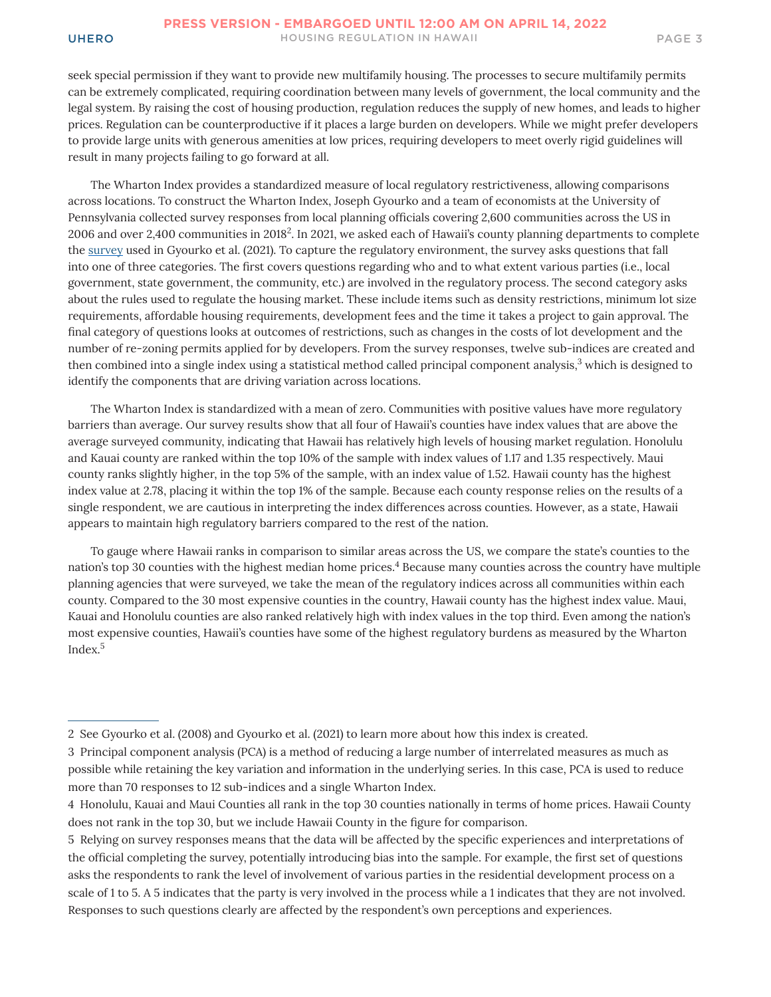seek special permission if they want to provide new multifamily housing. The processes to secure multifamily permits can be extremely complicated, requiring coordination between many levels of government, the local community and the legal system. By raising the cost of housing production, regulation reduces the supply of new homes, and leads to higher prices. Regulation can be counterproductive if it places a large burden on developers. While we might prefer developers to provide large units with generous amenities at low prices, requiring developers to meet overly rigid guidelines will result in many projects failing to go forward at all.

The Wharton Index provides a standardized measure of local regulatory restrictiveness, allowing comparisons across locations. To construct the Wharton Index, Joseph Gyourko and a team of economists at the University of Pennsylvania collected survey responses from local planning officials covering 2,600 communities across the US in 2006 and over 2,400 communities in 2018 $^2$ . In 2021, we asked each of Hawaii's county planning departments to complete the [survey](https://real-faculty.wharton.upenn.edu/wp-content/uploads/~gyourko/WRLURI/GyourkoHartleyKrimmel_NBERw26573appendix.pdf) used in Gyourko et al. (2021). To capture the regulatory environment, the survey asks questions that fall into one of three categories. The first covers questions regarding who and to what extent various parties (i.e., local government, state government, the community, etc.) are involved in the regulatory process. The second category asks about the rules used to regulate the housing market. These include items such as density restrictions, minimum lot size requirements, affordable housing requirements, development fees and the time it takes a project to gain approval. The final category of questions looks at outcomes of restrictions, such as changes in the costs of lot development and the number of re-zoning permits applied for by developers. From the survey responses, twelve sub-indices are created and then combined into a single index using a statistical method called principal component analysis, $3$  which is designed to identify the components that are driving variation across locations.

The Wharton Index is standardized with a mean of zero. Communities with positive values have more regulatory barriers than average. Our survey results show that all four of Hawaii's counties have index values that are above the average surveyed community, indicating that Hawaii has relatively high levels of housing market regulation. Honolulu and Kauai county are ranked within the top 10% of the sample with index values of 1.17 and 1.35 respectively. Maui county ranks slightly higher, in the top 5% of the sample, with an index value of 1.52. Hawaii county has the highest index value at 2.78, placing it within the top 1% of the sample. Because each county response relies on the results of a single respondent, we are cautious in interpreting the index differences across counties. However, as a state, Hawaii appears to maintain high regulatory barriers compared to the rest of the nation.

To gauge where Hawaii ranks in comparison to similar areas across the US, we compare the state's counties to the nation's top 30 counties with the highest median home prices.<sup>4</sup> Because many counties across the country have multiple planning agencies that were surveyed, we take the mean of the regulatory indices across all communities within each county. Compared to the 30 most expensive counties in the country, Hawaii county has the highest index value. Maui, Kauai and Honolulu counties are also ranked relatively high with index values in the top third. Even among the nation's most expensive counties, Hawaii's counties have some of the highest regulatory burdens as measured by the Wharton Index.5

<sup>2</sup> See Gyourko et al. (2008) and Gyourko et al. (2021) to learn more about how this index is created.

<sup>3</sup> Principal component analysis (PCA) is a method of reducing a large number of interrelated measures as much as possible while retaining the key variation and information in the underlying series. In this case, PCA is used to reduce more than 70 responses to 12 sub-indices and a single Wharton Index.

<sup>4</sup> Honolulu, Kauai and Maui Counties all rank in the top 30 counties nationally in terms of home prices. Hawaii County does not rank in the top 30, but we include Hawaii County in the figure for comparison.

<sup>5</sup> Relying on survey responses means that the data will be affected by the specific experiences and interpretations of the official completing the survey, potentially introducing bias into the sample. For example, the first set of questions asks the respondents to rank the level of involvement of various parties in the residential development process on a scale of 1 to 5. A 5 indicates that the party is very involved in the process while a 1 indicates that they are not involved. Responses to such questions clearly are affected by the respondent's own perceptions and experiences.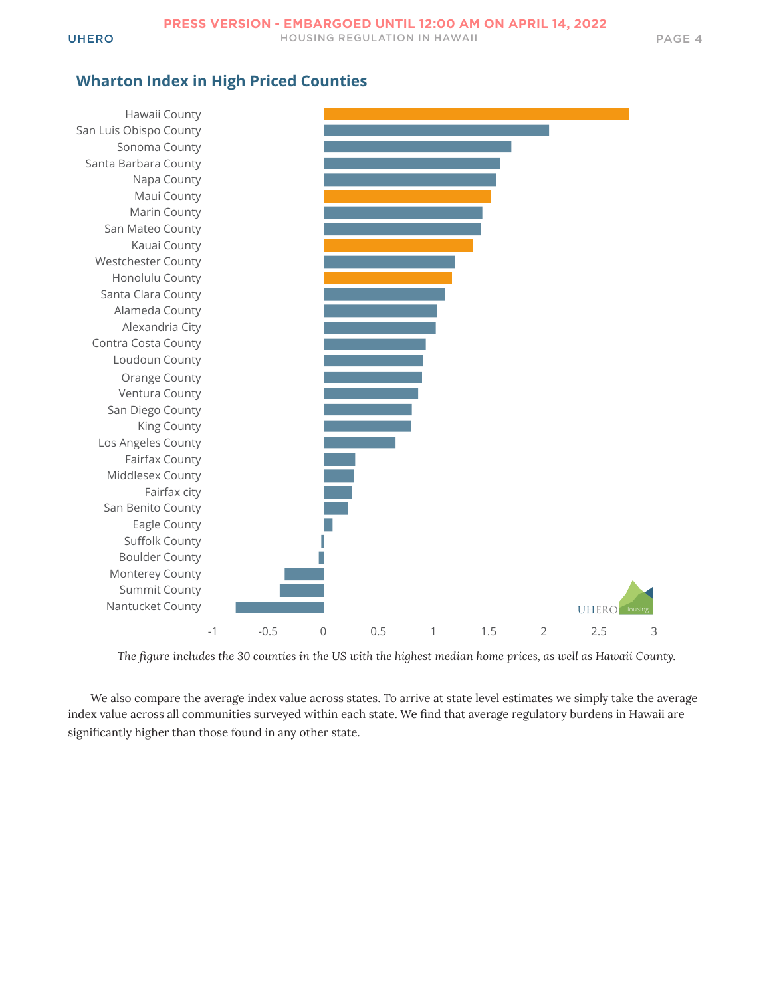## **Wharton Index in High Priced Counties**



*The figure includes the 30 counties in the US with the highest median home prices, as well as Hawaii County.*

We also compare the average index value across states. To arrive at state level estimates we simply take the average index value across all communities surveyed within each state. We find that average regulatory burdens in Hawaii are significantly higher than those found in any other state.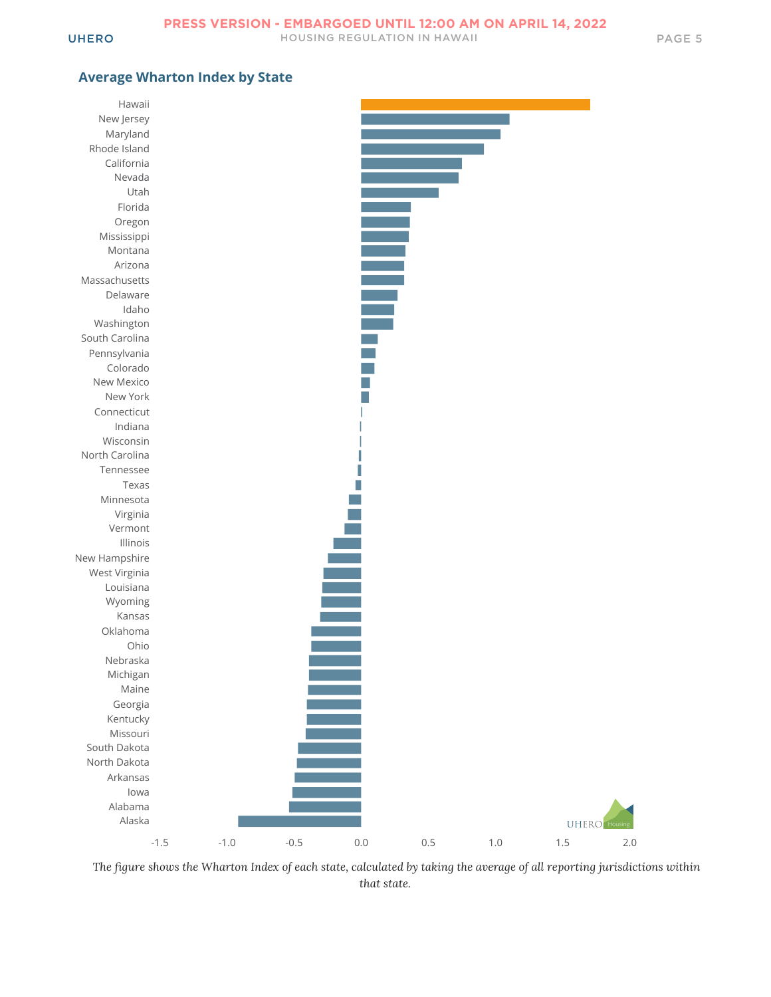### **Average Wharton Index by State**



*The figure shows the Wharton Index of each state, calculated by taking the average of all reporting jurisdictions within that state.*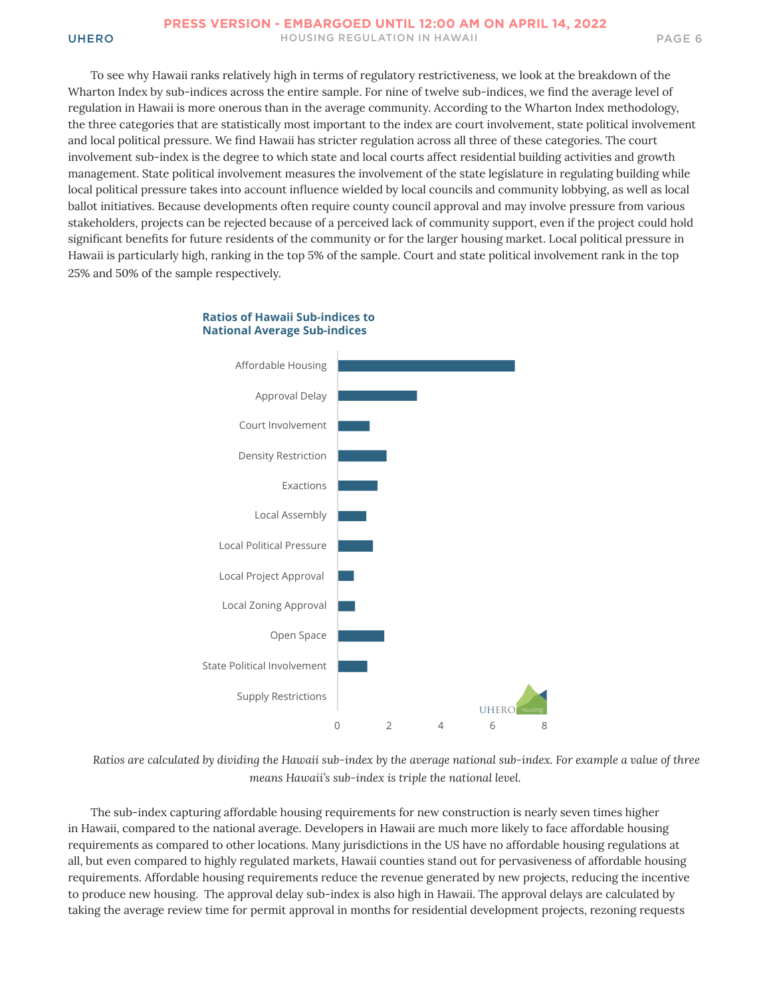To see why Hawaii ranks relatively high in terms of regulatory restrictiveness, we look at the breakdown of the Wharton Index by sub-indices across the entire sample. For nine of twelve sub-indices, we find the average level of regulation in Hawaii is more onerous than in the average community. According to the Wharton Index methodology, the three categories that are statistically most important to the index are court involvement, state political involvement and local political pressure. We find Hawaii has stricter regulation across all three of these categories. The court involvement sub-index is the degree to which state and local courts affect residential building activities and growth management. State political involvement measures the involvement of the state legislature in regulating building while local political pressure takes into account influence wielded by local councils and community lobbying, as well as local ballot initiatives. Because developments often require county council approval and may involve pressure from various stakeholders, projects can be rejected because of a perceived lack of community support, even if the project could hold significant benefits for future residents of the community or for the larger housing market. Local political pressure in Hawaii is particularly high, ranking in the top 5% of the sample. Court and state political involvement rank in the top 25% and 50% of the sample respectively.

# 0 2 4 6 8 Supply Restrictions State Political Involvement Open Space Local Zoning Approval Local Project Approval Local Political Pressure Local Assembly Exactions Density Restriction Court Involvement Approval Delay Affordable Housing UHERC

#### **Ratios of Hawaii Sub-indices to National Average Sub-indices**

*Ratios are calculated by dividing the Hawaii sub-index by the average national sub-index. For example a value of three means Hawaii's sub-index is triple the national level.*

The sub-index capturing affordable housing requirements for new construction is nearly seven times higher in Hawaii, compared to the national average. Developers in Hawaii are much more likely to face affordable housing requirements as compared to other locations. Many jurisdictions in the US have no affordable housing regulations at all, but even compared to highly regulated markets, Hawaii counties stand out for pervasiveness of affordable housing requirements. Affordable housing requirements reduce the revenue generated by new projects, reducing the incentive to produce new housing. The approval delay sub-index is also high in Hawaii. The approval delays are calculated by taking the average review time for permit approval in months for residential development projects, rezoning requests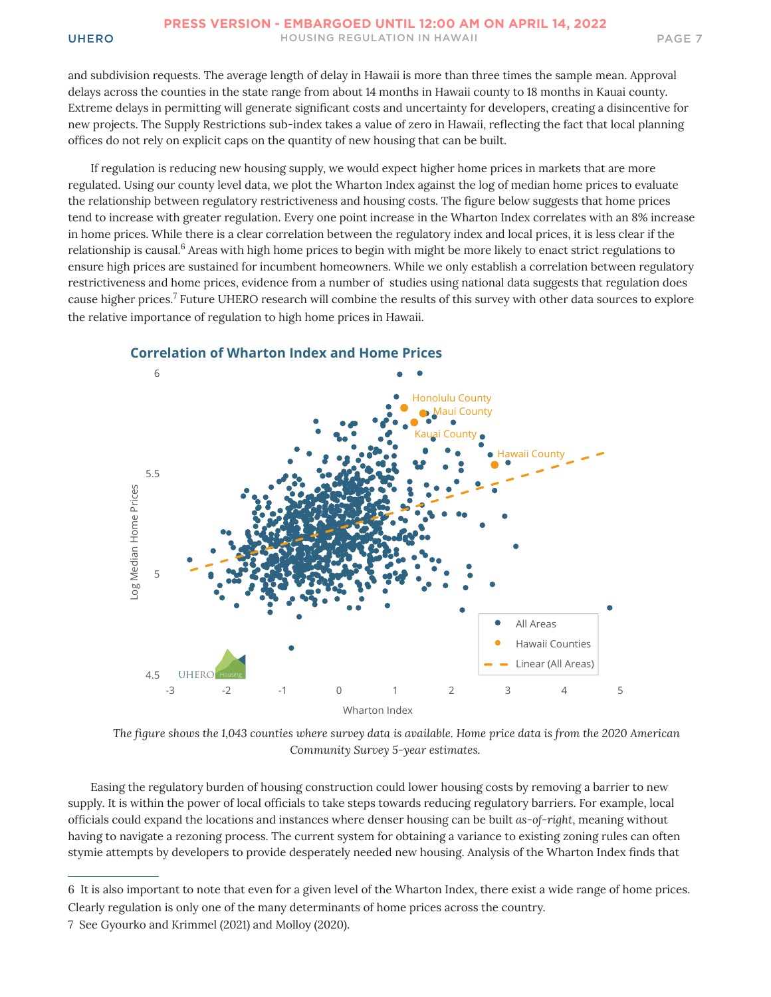and subdivision requests. The average length of delay in Hawaii is more than three times the sample mean. Approval delays across the counties in the state range from about 14 months in Hawaii county to 18 months in Kauai county. Extreme delays in permitting will generate significant costs and uncertainty for developers, creating a disincentive for new projects. The Supply Restrictions sub-index takes a value of zero in Hawaii, reflecting the fact that local planning offices do not rely on explicit caps on the quantity of new housing that can be built.

If regulation is reducing new housing supply, we would expect higher home prices in markets that are more regulated. Using our county level data, we plot the Wharton Index against the log of median home prices to evaluate the relationship between regulatory restrictiveness and housing costs. The figure below suggests that home prices tend to increase with greater regulation. Every one point increase in the Wharton Index correlates with an 8% increase in home prices. While there is a clear correlation between the regulatory index and local prices, it is less clear if the relationship is causal.6 Areas with high home prices to begin with might be more likely to enact strict regulations to ensure high prices are sustained for incumbent homeowners. While we only establish a correlation between regulatory restrictiveness and home prices, evidence from a number of studies using national data suggests that regulation does cause higher prices.<sup>7</sup> Future UHERO research will combine the results of this survey with other data sources to explore the relative importance of regulation to high home prices in Hawaii.



### **Correlation of Wharton Index and Home Prices**

*The figure shows the 1,043 counties where survey data is available. Home price data is from the 2020 American Community Survey 5-year estimates.*

Easing the regulatory burden of housing construction could lower housing costs by removing a barrier to new supply. It is within the power of local officials to take steps towards reducing regulatory barriers. For example, local officials could expand the locations and instances where denser housing can be built *as-of-right*, meaning without having to navigate a rezoning process. The current system for obtaining a variance to existing zoning rules can often stymie attempts by developers to provide desperately needed new housing. Analysis of the Wharton Index finds that

<sup>6</sup> It is also important to note that even for a given level of the Wharton Index, there exist a wide range of home prices. Clearly regulation is only one of the many determinants of home prices across the country.

<sup>7</sup> See Gyourko and Krimmel (2021) and Molloy (2020).